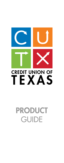

# **PRODUCT GUIDE**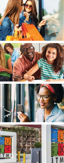





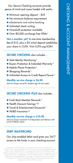Our Secure Checking accounts provide peace of mind and come loaded with perks...

- **Minimum opening deposit \$25**
- No minimum balance requirement
- **E** eStatements and online banking
- **Unlimited check writing**
- Overdraft protection available
- Over 80,000 surcharge-free ATMs<sup>1</sup>

Not a member yet? A one-time membership fee of \$10, plus a \$5 initial deposit establishes your share in CUTX. Visit CUTX.org/JOIN.

SECURE CHECKING also includes…

- Total Identity Monitoring<sup>2</sup>
- **Buyers Protection & Extended Warranty**<sup>3</sup>
- Mobile Phone Protection<sup>3</sup>
- **Shopping Rewards**<sup>2</sup>
- **Unlimited Access to Credit Report/Score**<sup>2</sup>

Monthly service charge is \$6.00 *(Service charge waived for Students age 25 and under)*

# SECURE CHECKING *PLUS* also includes…

- Cash Back Member Rewards 2
- Health Discount Savings<sup>2</sup><sup>+</sup>
- Travel & Entertainment Discounts<sup>2</sup>
- $\blacksquare$  AD&D Insurance 3.4

#### Monthly service charge is \$10.00

*(Service charge waived for First Responders and Veterans with proof of Veteran status)*

# DEBIT MASTERCARD

Our chip-enabled debit card gives you 24/7 access to the funds in your checking account.

Federally insured by NCUA. Insurance products are not a deposit; not NCUA insured; not an obligation of credit union; and not guaranteed by credit<br>union or any affiliated entity. 1: Surcharge-free ATMs are available through<br>AllPoint and MoneyPass networks. Visit allpointnetwork.com or money *nd one near you. 2: Registration and activation required. 3: Refer to Guide To Benets for complete details of coverage. 4: Plateau Insurance Company of Crossville, TN. will be the Accidental Death & Dismemberment Insurance underwriter. †-This is NOT insurance*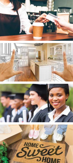





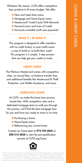- New and Used Auto Loans
- **Mortgage and Home Equity Loans**
- Mastercard® Credit Cards With Rewards
- **Personal Loans and Lines of Credit**
- Discounts available *(with auto payment)*  1

## BUILD IT | RE-BUILD IT

This program is designed to offer members with no credit history or past credit issues a way to build or re-build their credit. This program is a simple, 3-step process that can help get your credit on track.

# CREDIT CARDS

The Platinum Mastercard comes with competitive rates, no annual fees, no balance transfer fees, and additional benefits like Mastercard ID Theft Protection, Lost Wallet Assistance, and more.

# MORTGAGE LOANS

At CUTX, we make the home loan process hassle-free. With competitive rates and a dedicated mortgage team to walk you through the process, we'll find the best mortgage loan for you and have you ready to move in no time.

- **Purchasing a home**
- Home Equity Loans
- $\blacksquare$  Refinancing your current home

Contact our home team at 972-705-4845 or 800-314-3828 or start the pre-qualification process at CUTX.org/Loans.



*All loans and rates are subject to credit approval and CUTX lending policies. CUTX home loan programs are only available in Texas. Additional terms and conditions apply. Prequalication is not a commitment to lend. Membership required. 1: Some restrictions apply. Cannot be combined with other discounts. Equal Housing Opportunity | NMLS #576560 Credit Union of Texas provides mortgage loans through its afliate Texas Mortgage Lending, LLC, NMLS #1641703*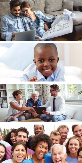





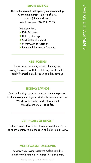#### SHARE SAVINGS

#### This is the account that opens your membership!

A one-time membership fee of \$10, plus a \$5 initial deposit establishes your *SHARE* in CUTX.

We also offer…

- Kids Accounts
- **Holiday Savings**
- Certificates of Deposit
- **Money Market Accounts**
- **Individual Retirement Accounts**

# KIDS SAVINGS

You're never too young to start planning and saving for tomorrow. Help a child in your life build a bright financial future by opening a kids savings.

# HOLIDAY SAVINGS

Don't let holiday expenses sneak up on you – prepare to check everyone off your list with this savings account. Withdrawals can be made November 1 through January 31 at no fee.

# CERTIFICATES OF DEPOSIT

Lock in a competitive interest rate for as little as 6, or up to 60 months. Minimum opening balance is \$1,000.

# MONEY MARKET ACCOUNTS

The grown-up savings account. Offers liquidity, a higher yield and up to six transfers per month.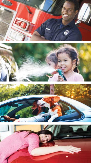





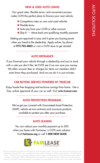#### NEW & USED AUTO LOANS

Our great rates, flexible terms, and convenient process make CUTX the perfect place to finance your next vehicle.

- Competitive rates on new and used vehicles
- **Flexible terms**
- Auto pay from your CUTX or other account
- $\blacksquare$  Skip It<sup>1</sup>  $-$  Move back one qualifying monthly payment

Getting pre-approved is easy and it gives you buying power when you head to the dealership. Apply online, by phone at 972-705-4802 or visit a CUTX store to get started!

# AUTO REFINANCE

If you financed your vehicle through a dealership and you're stuck with a rate you don't like, let CUTX see if we can save you money. We often uncover fees or charges for items our members didn't even know they purchased. And we can do it in just minutes.

## CAR BUYING SERVICE POWERED BY TRUECAR

Enjoy hassle-free shopping and exclusive savings from home. Get a free, online appraisal of your car as well. Visit cutx.truecar.com.

# AUTO PROTECTION PROGRAM<sup>2</sup>

We've got you covered with Guaranteed Asset Protection (GAP), vehicle service contracts and insurance products available to protect you after your purchase.

# AUTO LEASING

You can reduce your monthly payment up to 50% when you lease with FairLease, a CUTX auto solution. Visit FairLease.org or call 1-800-NEW-LEASE.



*All loans and leases are subject to credit approval. Some restrictions apply. Savings are estimates, actual savings may vary. Membership required. This is not a commitment to lend or lease. FairLease is a wholly owned subsidiary of Credit Union of Texas. 1: Interest will accrue during the deferment period. Subject to credit approval. 2: Auto Protection Program offered through our third-party afliate. Additional terms and conditions may apply. Insurance Products are not insured by the NCUA or any Federal Government Agency; not a deposit of or guaranteed by the credit union or any credit union afliate.*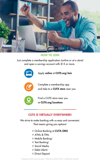

#### HOW TO JOIN

Just complete a membership application *(online or at a store)* and open a savings account with \$15 or more.



Apply online at CUTX.org/Join



Complete a membership app and take to a CUTX store near you



Find a CUTX store near you at CUTX.org/Locations

#### CUTX IS VIRTUALLY EVERYWHERE!

We strive to make banking with us easy and convenient. That means giving you options!

- Online Banking at CUTX.ORG
- ATMs & ITMs
- Mobile Banking\*
- Text Banking\*
- Social Media
- Debit Alerts\*
- Direct Deposit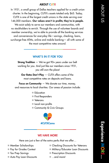# ABOUT CUTX

In 1931, a small group of Dallas teachers applied for a credit union charter. In the beginning, CUTX's assets totaled only \$65. Today, CUTX is one of the largest credit unions in the state serving over 146,000 members. Our values aren't in profits; they're in people. We exist solely to serve our members and communities, with no stockholders to enrich. Through the use of volunteer boards and member ownership, we're able to provide all the banking services and conveniences for everyday life—savings, checking, loans, surcharge-free ATMs, online and mobile banking— all with some of the most competitive rates around.

#### WHAT'S IN IT FOR YOU

Strong Tradition — We've got 90+ years under our belt working for you. And just like our members since 1931, you still own the place!

Our Rates Don't Play — CUTX offers some of the most competitive rates on deposits and loans.

**Focus on Community**  $-$  We donate our time, money, and resources to local charities. Our areas of passion include:

- $\blacksquare$  Education
- First Responders
- Veterans
- $\blacksquare$  Local non-profits
- Community & Civic Groups



#### WE HAVE MORE

Here are just a few of the extra perks that we offer…

- Member Scholarships
- Pay for Grades Contest
- Tax Prep Savings
- Auto Pay Loan Discounts
- Checking Discounts for Veterans
- Military/Educator Loan Discounts
- **Prescription Discounts**
- ...and more!